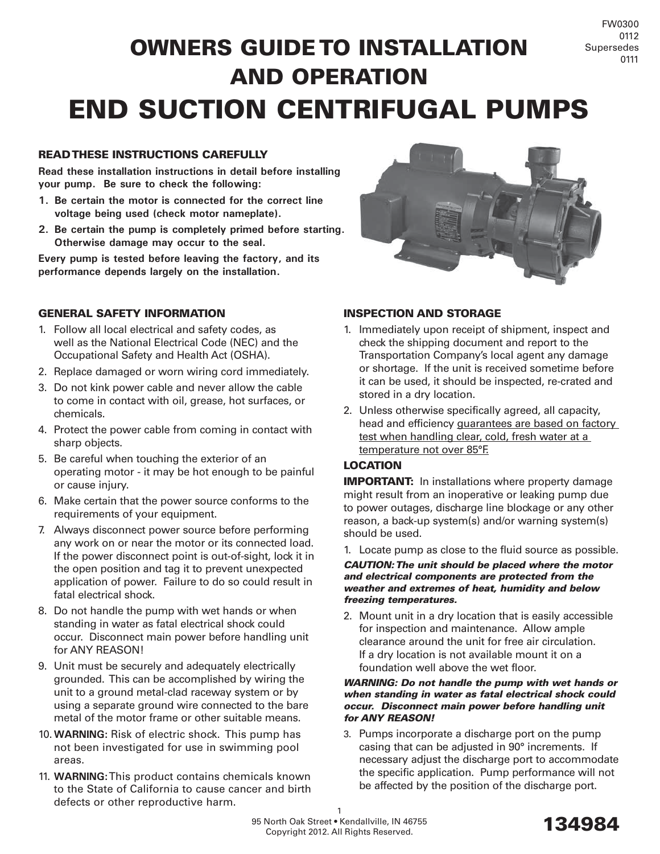# OWNERS GUIDE TO INSTALLATION AND OPERATION END SUCTION CENTRIFUGAL PUMPS

# READ THESE INSTRUCTIONS CAREFULLY

**Read these installation instructions in detail before installing your pump. Be sure to check the following:**

- **1. Be certain the motor is connected for the correct line voltage being used (check motor nameplate).**
- **2. Be certain the pump is completely primed before starting. Otherwise damage may occur to the seal.**

**Every pump is tested before leaving the factory, and its performance depends largely on the installation.**



#### GENERAL SAFETY INFORMATION

- 1. Follow all local electrical and safety codes, as well as the National Electrical Code (NEC) and the Occupational Safety and Health Act (OSHA).
- 2. Replace damaged or worn wiring cord immediately.
- 3. Do not kink power cable and never allow the cable to come in contact with oil, grease, hot surfaces, or chemicals.
- 4. Protect the power cable from coming in contact with sharp objects.
- 5. Be careful when touching the exterior of an operating motor - it may be hot enough to be painful or cause injury.
- 6. Make certain that the power source conforms to the requirements of your equipment.
- 7. Always disconnect power source before performing any work on or near the motor or its connected load. If the power disconnect point is out-of-sight, lock it in the open position and tag it to prevent unexpected application of power. Failure to do so could result in fatal electrical shock.
- 8. Do not handle the pump with wet hands or when standing in water as fatal electrical shock could occur. Disconnect main power before handling unit for ANY REASON!
- 9. Unit must be securely and adequately electrically grounded. This can be accomplished by wiring the unit to a ground metal-clad raceway system or by using a separate ground wire connected to the bare metal of the motor frame or other suitable means.
- 10. **WARNING:** Risk of electric shock. This pump has not been investigated for use in swimming pool areas.
- 11. **WARNING:**This product contains chemicals known to the State of California to cause cancer and birth defects or other reproductive harm.

# INSPECTION AND STORAGE

- 1. Immediately upon receipt of shipment, inspect and check the shipping document and report to the Transportation Company's local agent any damage or shortage. If the unit is received sometime before it can be used, it should be inspected, re-crated and stored in a dry location.
- 2. Unless otherwise specifically agreed, all capacity, head and efficiency guarantees are based on factory test when handling clear, cold, fresh water at a temperature not over 85°F.

# LOCATION

**IMPORTANT:** In installations where property damage might result from an inoperative or leaking pump due to power outages, discharge line blockage or any other reason, a back-up system(s) and/or warning system(s) should be used.

1. Locate pump as close to the fluid source as possible.

#### *CAUTION: The unit should be placed where the motor and electrical components are protected from the weather and extremes of heat, humidity and below freezing temperatures.*

2. Mount unit in a dry location that is easily accessible for inspection and maintenance. Allow ample clearance around the unit for free air circulation. If a dry location is not available mount it on a foundation well above the wet floor.

#### *WARNING: Do not handle the pump with wet hands or when standing in water as fatal electrical shock could occur. Disconnect main power before handling unit for ANY REASON!*

3. Pumps incorporate a discharge port on the pump casing that can be adjusted in 90° increments. If necessary adjust the discharge port to accommodate the specific application. Pump performance will not be affected by the position of the discharge port.

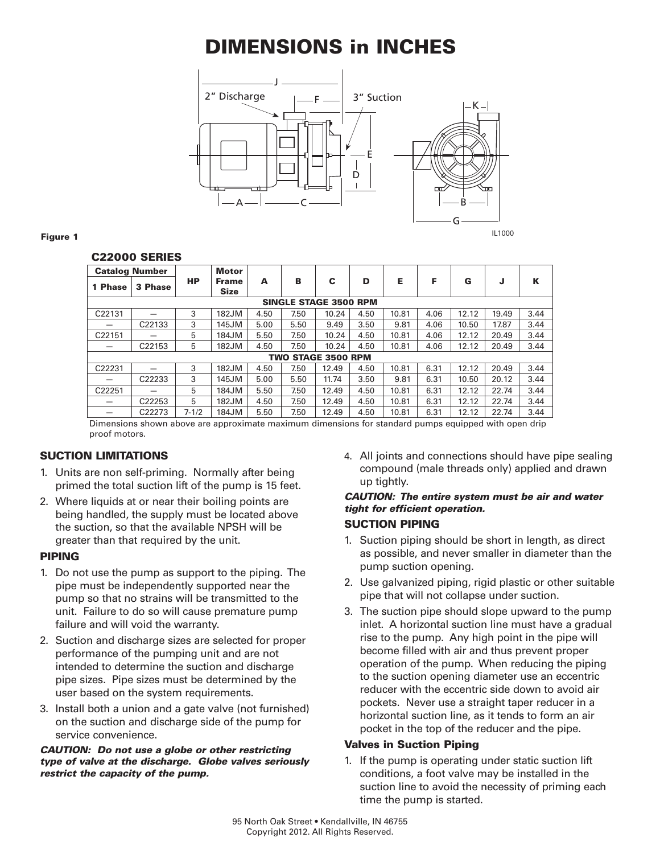# DIMENSIONS in INCHES



#### Figure 1

#### C22000 SERIES

| <b>Catalog Number</b>        |                    |           | <b>Motor</b>                |      |      |       |      |       |      |       |       |      |
|------------------------------|--------------------|-----------|-----------------------------|------|------|-------|------|-------|------|-------|-------|------|
| 1 Phase                      | 3 Phase            | НP        | <b>Frame</b><br><b>Size</b> | A    | в    | с     | D    | Е     | F    | G     | J     | К    |
| <b>SINGLE STAGE 3500 RPM</b> |                    |           |                             |      |      |       |      |       |      |       |       |      |
| C22131                       |                    | 3         | 182JM                       | 4.50 | 7.50 | 10.24 | 4.50 | 10.81 | 4.06 | 12.12 | 19.49 | 3.44 |
| —                            | C22133             | 3         | 145JM                       | 5.00 | 5.50 | 9.49  | 3.50 | 9.81  | 4.06 | 10.50 | 17.87 | 3.44 |
| C22151                       |                    | 5         | 184JM                       | 5.50 | 7.50 | 10.24 | 4.50 | 10.81 | 4.06 | 12.12 | 20.49 | 3.44 |
|                              | C22153             | 5         | 182JM                       | 4.50 | 7.50 | 10.24 | 4.50 | 10.81 | 4.06 | 12.12 | 20.49 | 3.44 |
| <b>TWO STAGE 3500 RPM</b>    |                    |           |                             |      |      |       |      |       |      |       |       |      |
| C22231                       |                    | 3         | 182JM                       | 4.50 | 7.50 | 12.49 | 4.50 | 10.81 | 6.31 | 12.12 | 20.49 | 3.44 |
|                              | C22233             | 3         | 145JM                       | 5.00 | 5.50 | 11.74 | 3.50 | 9.81  | 6.31 | 10.50 | 20.12 | 3.44 |
| C22251                       |                    | 5         | 184JM                       | 5.50 | 7.50 | 12.49 | 4.50 | 10.81 | 6.31 | 12.12 | 22.74 | 3.44 |
|                              | C22253             | 5         | 182JM                       | 4.50 | 7.50 | 12.49 | 4.50 | 10.81 | 6.31 | 12.12 | 22.74 | 3.44 |
|                              | C <sub>22273</sub> | $7 - 1/2$ | 184JM                       | 5.50 | 7.50 | 12.49 | 4.50 | 10.81 | 6.31 | 12.12 | 22.74 | 3.44 |

Dimensions shown above are approximate maximum dimensions for standard pumps equipped with open drip proof motors.

# SUCTION LIMITATIONS

- 1. Units are non self-priming. Normally after being primed the total suction lift of the pump is 15 feet.
- 2. Where liquids at or near their boiling points are being handled, the supply must be located above the suction, so that the available NPSH will be greater than that required by the unit.

#### PIPING

- 1. Do not use the pump as support to the piping. The pipe must be independently supported near the pump so that no strains will be transmitted to the unit. Failure to do so will cause premature pump failure and will void the warranty.
- 2. Suction and discharge sizes are selected for proper performance of the pumping unit and are not intended to determine the suction and discharge pipe sizes. Pipe sizes must be determined by the user based on the system requirements.
- 3. Install both a union and a gate valve (not furnished) on the suction and discharge side of the pump for service convenience.

#### *CAUTION: Do not use a globe or other restricting type of valve at the discharge. Globe valves seriously restrict the capacity of the pump.*

4. All joints and connections should have pipe sealing compound (male threads only) applied and drawn up tightly.

# *CAUTION: The entire system must be air and water tight for efficient operation.*

#### SUCTION PIPING

- 1. Suction piping should be short in length, as direct as possible, and never smaller in diameter than the pump suction opening.
- 2. Use galvanized piping, rigid plastic or other suitable pipe that will not collapse under suction.
- 3. The suction pipe should slope upward to the pump inlet. A horizontal suction line must have a gradual rise to the pump. Any high point in the pipe will become filled with air and thus prevent proper operation of the pump. When reducing the piping to the suction opening diameter use an eccentric reducer with the eccentric side down to avoid air pockets. Never use a straight taper reducer in a horizontal suction line, as it tends to form an air pocket in the top of the reducer and the pipe.

# Valves in Suction Piping

1. If the pump is operating under static suction lift conditions, a foot valve may be installed in the suction line to avoid the necessity of priming each time the pump is started.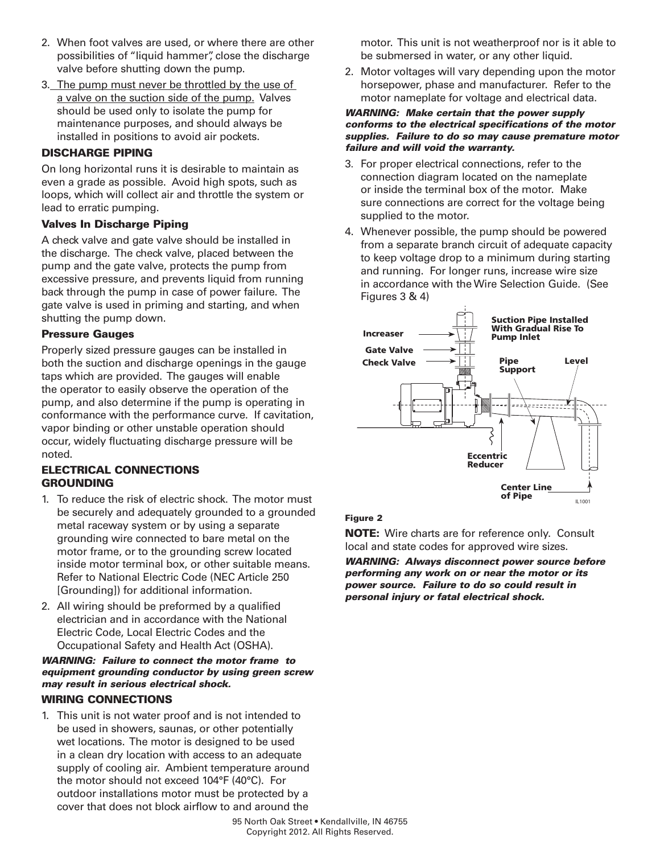- 2. When foot valves are used, or where there are other possibilities of "liquid hammer", close the discharge valve before shutting down the pump.
- 3. The pump must never be throttled by the use of a valve on the suction side of the pump. Valves should be used only to isolate the pump for maintenance purposes, and should always be installed in positions to avoid air pockets.

#### DISCHARGE PIPING

On long horizontal runs it is desirable to maintain as even a grade as possible. Avoid high spots, such as loops, which will collect air and throttle the system or lead to erratic pumping.

# Valves In Discharge Piping

A check valve and gate valve should be installed in the discharge. The check valve, placed between the pump and the gate valve, protects the pump from excessive pressure, and prevents liquid from running back through the pump in case of power failure. The gate valve is used in priming and starting, and when shutting the pump down.

#### Pressure Gauges

Properly sized pressure gauges can be installed in both the suction and discharge openings in the gauge taps which are provided. The gauges will enable the operator to easily observe the operation of the pump, and also determine if the pump is operating in conformance with the performance curve. If cavitation, vapor binding or other unstable operation should occur, widely fluctuating discharge pressure will be noted.

# ELECTRICAL CONNECTIONS **GROUNDING**

- 1. To reduce the risk of electric shock. The motor must be securely and adequately grounded to a grounded metal raceway system or by using a separate grounding wire connected to bare metal on the motor frame, or to the grounding screw located inside motor terminal box, or other suitable means. Refer to National Electric Code (NEC Article 250 [Grounding]) for additional information.
- 2. All wiring should be preformed by a qualified electrician and in accordance with the National Electric Code, Local Electric Codes and the Occupational Safety and Health Act (OSHA).

# *WARNING: Failure to connect the motor frame to equipment grounding conductor by using green screw may result in serious electrical shock.*

#### WIRING CONNECTIONS

1. This unit is not water proof and is not intended to be used in showers, saunas, or other potentially wet locations. The motor is designed to be used in a clean dry location with access to an adequate supply of cooling air. Ambient temperature around the motor should not exceed 104°F (40°C). For outdoor installations motor must be protected by a cover that does not block airflow to and around the

motor. This unit is not weatherproof nor is it able to be submersed in water, or any other liquid.

2. Motor voltages will vary depending upon the motor horsepower, phase and manufacturer. Refer to the motor nameplate for voltage and electrical data.

#### *WARNING: Make certain that the power supply conforms to the electrical specifications of the motor supplies. Failure to do so may cause premature motor failure and will void the warranty.*

- 3. For proper electrical connections, refer to the connection diagram located on the nameplate or inside the terminal box of the motor. Make sure connections are correct for the voltage being supplied to the motor.
- 4. Whenever possible, the pump should be powered from a separate branch circuit of adequate capacity to keep voltage drop to a minimum during starting and running. For longer runs, increase wire size in accordance with the Wire Selection Guide. (See Figures 3 & 4)



# Figure 2

NOTE: Wire charts are for reference only. Consult local and state codes for approved wire sizes.

*WARNING: Always disconnect power source before performing any work on or near the motor or its power source. Failure to do so could result in personal injury or fatal electrical shock.*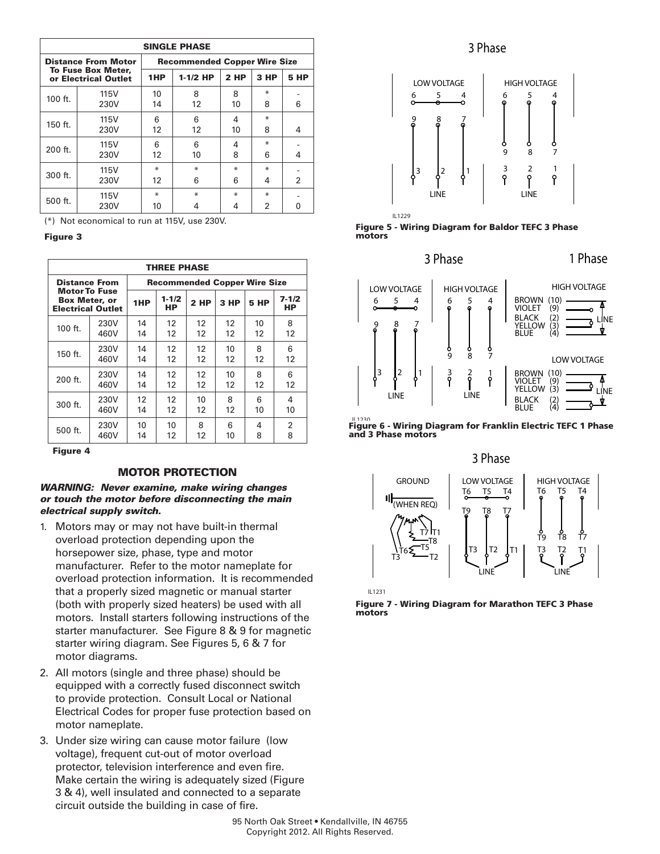| <b>SINGLE PHASE</b>                        |                            |                                     |    |      |        |                |  |  |  |
|--------------------------------------------|----------------------------|-------------------------------------|----|------|--------|----------------|--|--|--|
|                                            | <b>Distance From Motor</b> | <b>Recommended Copper Wire Size</b> |    |      |        |                |  |  |  |
| To Fuse Box Meter,<br>or Electrical Outlet |                            | 1HP<br>$1-1/2$ HP                   |    | 2 HP | $3$ HP | <b>5 HP</b>    |  |  |  |
| $100$ ft.                                  | 115V                       | 10                                  | 8  | 8    | ∗      |                |  |  |  |
|                                            | 230V                       | 14                                  | 12 | 10   | 8      | 6              |  |  |  |
| $150$ ft.                                  | 115V                       | 6                                   | 6  | 4    | ₩      |                |  |  |  |
|                                            | 230V                       | 12                                  | 12 | 10   | 8      | 4              |  |  |  |
| 200 ft.                                    | 115V                       | 6                                   | 6  | 4    | ∗      |                |  |  |  |
|                                            | 230V                       | 12                                  | 10 | 8    | 6      | 4              |  |  |  |
| $300$ ft.                                  | 115V                       | ∗                                   | ∗  | ₩    | ∗      |                |  |  |  |
|                                            | 230V                       | 12                                  | 6  | 6    | 4      | $\overline{2}$ |  |  |  |
| $500$ ft.                                  | 115V                       | ∗                                   | ∗  | ₩    | ∗      |                |  |  |  |
|                                            | 230V                       | 10                                  | 4  |      | 2      |                |  |  |  |

(\*) Not economical to run at 115V, use 230V.

Figure 3

| <b>THREE PHASE</b>                                                                               |      |                                     |                  |             |      |      |                  |  |  |
|--------------------------------------------------------------------------------------------------|------|-------------------------------------|------------------|-------------|------|------|------------------|--|--|
| <b>Distance From</b><br><b>Motor To Fuse</b><br><b>Box Meter, or</b><br><b>Electrical Outlet</b> |      | <b>Recommended Copper Wire Size</b> |                  |             |      |      |                  |  |  |
|                                                                                                  |      | 1HP                                 | $1 - 1/2$<br>HP. | <b>2 HP</b> | 3 HP | 5 HP | $7 - 1/2$<br>HP. |  |  |
| 100 ft.                                                                                          | 230V | 14                                  | 12               | 12          | 12   | 10   | 8                |  |  |
|                                                                                                  | 460V | 14                                  | 12               | 12          | 12   | 12   | 12               |  |  |
| 150 ft.                                                                                          | 230V | 14                                  | 12               | 12          | 10   | 8    | 6                |  |  |
|                                                                                                  | 460V | 14                                  | 12               | 12          | 12   | 12   | 12               |  |  |
| $200$ ft.                                                                                        | 230V | 14                                  | 12               | 12          | 10   | 8    | 6                |  |  |
|                                                                                                  | 460V | 14                                  | 12               | 12          | 12   | 12   | 12               |  |  |
| 300 ft.                                                                                          | 230V | 12                                  | 12               | 10          | 8    | 6    | 4                |  |  |
|                                                                                                  | 460V | 14                                  | 12               | 12          | 12   | 10   | 10               |  |  |
| 500 ft.                                                                                          | 230V | 10                                  | 10               | 8           | 6    | 4    | 2                |  |  |
|                                                                                                  | 460V | 14                                  | 12               | 12          | 10   | 8    | 8                |  |  |

Figure 4

#### MOTOR PROTECTION

#### *WARNING: Never examine, make wiring changes or touch the motor before disconnecting the main electrical supply switch.*

- 1. Motors may or may not have built-in thermal overload protection depending upon the horsepower size, phase, type and motor manufacturer. Refer to the motor nameplate for overload protection information. It is recommended that a properly sized magnetic or manual starter (both with properly sized heaters) be used with all motors. Install starters following instructions of the starter manufacturer. See Figure 8 & 9 for magnetic starter wiring diagram. See Figures 5, 6 & 7 for motor diagrams.
- 2. All motors (single and three phase) should be equipped with a correctly fused disconnect switch to provide protection. Consult Local or National Electrical Codes for proper fuse protection based on motor nameplate.
- 3. Under size wiring can cause motor failure (low voltage), frequent cut-out of motor overload protector, television interference and even fire. Make certain the wiring is adequately sized (Figure 3 & 4), well insulated and connected to a separate circuit outside the building in case of fire.

# 3 Phase



Figure 5 - Wiring Diagram for Baldor TEFC 3 Phase motors

# 3 Phase 1 Phase



القدري...<br>Figure 6 - Wiring Diagram for Franklin Electric TEFC 1 Phase and 3 Phase motors





IL1231

Figure 7 - Wiring Diagram for Marathon TEFC 3 Phase motors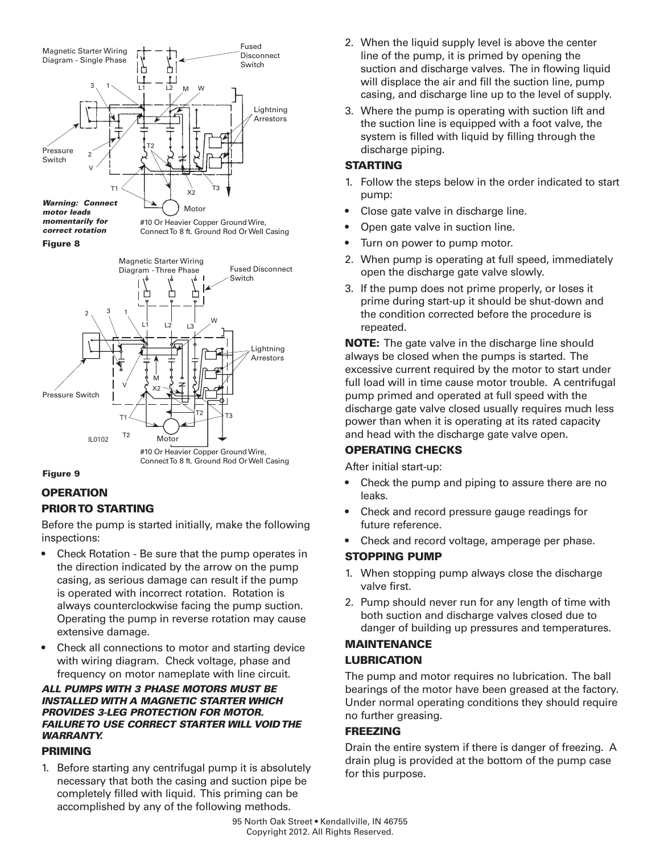







# **OPERATION** PRIOR TO STARTING

Before the pump is started initially, make the following inspections:

- Check Rotation Be sure that the pump operates in the direction indicated by the arrow on the pump casing, as serious damage can result if the pump is operated with incorrect rotation. Rotation is always counterclockwise facing the pump suction. Operating the pump in reverse rotation may cause extensive damage.
- Check all connections to motor and starting device with wiring diagram. Check voltage, phase and frequency on motor nameplate with line circuit.

#### *ALL PUMPS WITH 3 PHASE MOTORS MUST BE INSTALLED WITH A MAGNETIC STARTER WHICH PROVIDES 3-LEG PROTECTION FOR MOTOR. FAILURE TO USE CORRECT STARTER WILL VOID THE WARRANTY.*

# PRIMING

1. Before starting any centrifugal pump it is absolutely necessary that both the casing and suction pipe be completely filled with liquid. This priming can be accomplished by any of the following methods.

- 2. When the liquid supply level is above the center line of the pump, it is primed by opening the suction and discharge valves. The in flowing liquid will displace the air and fill the suction line, pump casing, and discharge line up to the level of supply.
- 3. Where the pump is operating with suction lift and the suction line is equipped with a foot valve, the system is filled with liquid by filling through the discharge piping.

# STARTING

- 1. Follow the steps below in the order indicated to start pump:
- Close gate valve in discharge line.
- Open gate valve in suction line.
- Turn on power to pump motor.
- 2. When pump is operating at full speed, immediately open the discharge gate valve slowly.
- 3. If the pump does not prime properly, or loses it prime during start-up it should be shut-down and the condition corrected before the procedure is repeated.

**NOTE:** The gate valve in the discharge line should always be closed when the pumps is started. The excessive current required by the motor to start under full load will in time cause motor trouble. A centrifugal pump primed and operated at full speed with the discharge gate valve closed usually requires much less power than when it is operating at its rated capacity and head with the discharge gate valve open.

# OPERATING CHECKS

After initial start-up:

- Check the pump and piping to assure there are no leaks.
- Check and record pressure gauge readings for future reference.
- Check and record voltage, amperage per phase.

# STOPPING PUMP

- 1. When stopping pump always close the discharge valve first.
- 2. Pump should never run for any length of time with both suction and discharge valves closed due to danger of building up pressures and temperatures.

# MAINTENANCE LUBRICATION

The pump and motor requires no lubrication. The ball bearings of the motor have been greased at the factory. Under normal operating conditions they should require no further greasing.

# FREEZING

Drain the entire system if there is danger of freezing. A drain plug is provided at the bottom of the pump case for this purpose.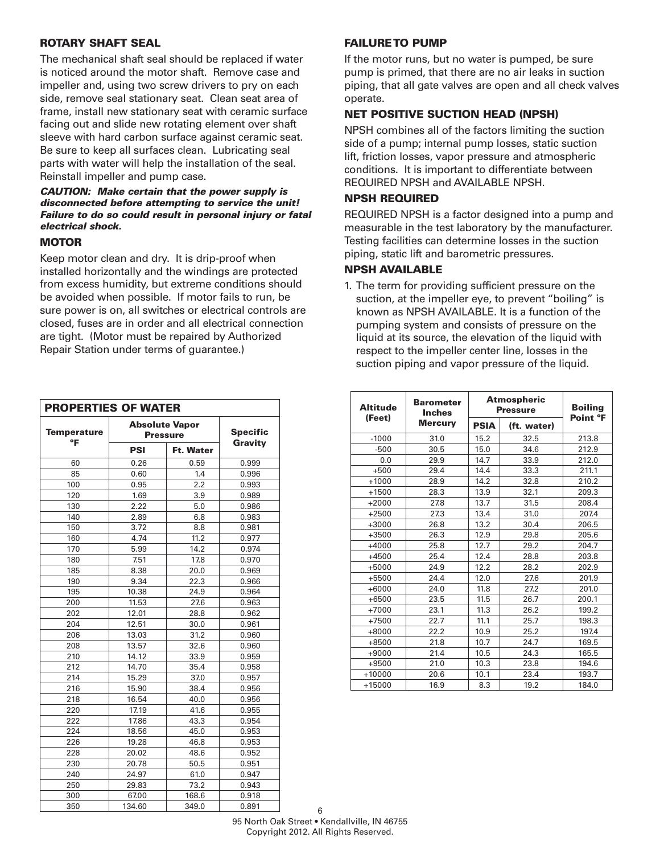#### ROTARY SHAFT SEAL

The mechanical shaft seal should be replaced if water is noticed around the motor shaft. Remove case and impeller and, using two screw drivers to pry on each side, remove seal stationary seat. Clean seat area of frame, install new stationary seat with ceramic surface facing out and slide new rotating element over shaft sleeve with hard carbon surface against ceramic seat. Be sure to keep all surfaces clean. Lubricating seal parts with water will help the installation of the seal. Reinstall impeller and pump case.

#### *CAUTION: Make certain that the power supply is disconnected before attempting to service the unit! Failure to do so could result in personal injury or fatal electrical shock.*

#### **MOTOR**

Keep motor clean and dry. It is drip-proof when installed horizontally and the windings are protected from excess humidity, but extreme conditions should be avoided when possible. If motor fails to run, be sure power is on, all switches or electrical controls are closed, fuses are in order and all electrical connection are tight. (Motor must be repaired by Authorized Repair Station under terms of guarantee.)

| <b>PROPERTIES OF WATER</b> |                                          |                            |       |  |  |  |  |
|----------------------------|------------------------------------------|----------------------------|-------|--|--|--|--|
| <b>Temperature</b><br>°F   | <b>Absolute Vapor</b><br><b>Pressure</b> | <b>Specific</b><br>Gravity |       |  |  |  |  |
|                            | <b>PSI</b>                               | <b>Ft. Water</b>           |       |  |  |  |  |
| 60                         | 0.26                                     | 0.59                       | 0.999 |  |  |  |  |
| 85                         | 0.60                                     | 1.4                        | 0.996 |  |  |  |  |
| 100                        | 0.95                                     | 2.2                        | 0.993 |  |  |  |  |
| 120                        | 1.69                                     | 3.9                        | 0.989 |  |  |  |  |
| 130                        | 2.22                                     | 5.0                        | 0.986 |  |  |  |  |
| 140                        | 2.89                                     | 6.8                        | 0.983 |  |  |  |  |
| 150                        | 3.72                                     | 8.8                        | 0.981 |  |  |  |  |
| 160                        | 4.74                                     | 11.2                       | 0.977 |  |  |  |  |
| 170                        | 5.99                                     | 14.2                       | 0.974 |  |  |  |  |
| 180                        | 7.51                                     | 17.8                       | 0.970 |  |  |  |  |
| 185                        | 8.38                                     | 20.0                       | 0.969 |  |  |  |  |
| 190                        | 9.34                                     | 22.3                       | 0.966 |  |  |  |  |
| 195                        | 10.38                                    | 24.9                       | 0.964 |  |  |  |  |
| 200                        | 11.53                                    | 27.6                       | 0.963 |  |  |  |  |
| 202                        | 12.01                                    | 28.8                       | 0.962 |  |  |  |  |
| 204                        | 12.51                                    | 30.0                       | 0.961 |  |  |  |  |
| 206                        | 13.03                                    | 31.2                       | 0.960 |  |  |  |  |
| 208                        | 13.57                                    | 32.6                       | 0.960 |  |  |  |  |
| 210                        | 14.12                                    | 33.9                       | 0.959 |  |  |  |  |
| 212                        | 14.70                                    | 35.4                       | 0.958 |  |  |  |  |
| 214                        | 15.29                                    | 37.0                       | 0.957 |  |  |  |  |
| 216                        | 15.90                                    | 38.4                       | 0.956 |  |  |  |  |
| 218                        | 16.54                                    | 40.0                       | 0.956 |  |  |  |  |
| 220                        | 17.19                                    | 41.6                       | 0.955 |  |  |  |  |
| 222                        | 17.86                                    | 43.3                       | 0.954 |  |  |  |  |
| 224                        | 18.56                                    | 45.0                       | 0.953 |  |  |  |  |
| 226                        | 19.28                                    | 46.8                       | 0.953 |  |  |  |  |
| 228                        | 20.02                                    | 48.6                       | 0.952 |  |  |  |  |
| 230                        | 20.78                                    | 50.5                       | 0.951 |  |  |  |  |
| 240                        | 24.97                                    | 61.0                       | 0.947 |  |  |  |  |
| 250                        | 29.83                                    | 73.2                       | 0.943 |  |  |  |  |
| 300                        | 67.00                                    | 168.6                      | 0.918 |  |  |  |  |
| 350                        | 134.60                                   | 349.0                      | 0.891 |  |  |  |  |

# FAILURE TO PUMP

If the motor runs, but no water is pumped, be sure pump is primed, that there are no air leaks in suction piping, that all gate valves are open and all check valves operate.

#### NET POSITIVE SUCTION HEAD (NPSH)

NPSH combines all of the factors limiting the suction side of a pump; internal pump losses, static suction lift, friction losses, vapor pressure and atmospheric conditions. It is important to differentiate between REQUIRED NPSH and AVAILABLE NPSH.

#### NPSH REQUIRED

REQUIRED NPSH is a factor designed into a pump and measurable in the test laboratory by the manufacturer. Testing facilities can determine losses in the suction piping, static lift and barometric pressures.

# NPSH AVAILABLE

1. The term for providing sufficient pressure on the suction, at the impeller eye, to prevent "boiling" is known as NPSH AVAILABLE. It is a function of the pumping system and consists of pressure on the liquid at its source, the elevation of the liquid with respect to the impeller center line, losses in the suction piping and vapor pressure of the liquid.

| <b>Altitude</b> | <b>Barometer</b><br><b>Inches</b> |             | <b>Atmospheric</b><br><b>Pressure</b> | <b>Boiling</b><br>Point °F |  |
|-----------------|-----------------------------------|-------------|---------------------------------------|----------------------------|--|
| (Feet)          | <b>Mercury</b>                    | <b>PSIA</b> | (ft. water)                           |                            |  |
| $-1000$         | 31.0                              | 15.2        | 32.5                                  | 213.8                      |  |
| $-500$          | 30.5                              | 15.0        | 34.6                                  | 212.9                      |  |
| 0.0             | 29.9                              | 14.7        | 33.9                                  | 212.0                      |  |
| $+500$          | 29.4                              | 14.4        | 33.3                                  | 211.1                      |  |
| $+1000$         | 28.9                              | 14.2        | 32.8                                  | 210.2                      |  |
| $+1500$         | 28.3                              | 13.9        | 32.1                                  | 209.3                      |  |
| $+2000$         | 27.8                              | 13.7        | 31.5                                  | 208.4                      |  |
| $+2500$         | 27.3                              | 13.4        | 31.0                                  | 207.4                      |  |
| $+3000$         | 26.8                              | 13.2        | 30.4                                  | 206.5                      |  |
| $+3500$         | 26.3                              | 12.9        | 29.8                                  | 205.6                      |  |
| $+4000$         | 25.8                              | 12.7        | 29.2                                  | 204.7                      |  |
| $+4500$         | 25.4                              | 12.4        | 28.8                                  | 203.8                      |  |
| $+5000$         | 24.9                              | 12.2        | 28.2                                  | 202.9                      |  |
| +5500           | 24.4                              | 12.0        | 27.6                                  | 201.9                      |  |
| $+6000$         | 24.0                              | 11.8        | 27.2                                  | 201.0                      |  |
| $+6500$         | 23.5                              | 11.5        | 26.7                                  | 200.1                      |  |
| $+7000$         | 23.1                              | 11.3        | 26.2                                  | 199.2                      |  |
| $+7500$         | 22.7                              | 11.1        | 25.7                                  | 198.3                      |  |
| $+8000$         | 22.2                              | 10.9        | 25.2                                  | 197.4                      |  |
| +8500           | 21.8                              | 10.7        | 24.7                                  | 169.5                      |  |
| $+9000$         | 21.4                              | 10.5        | 24.3                                  | 165.5                      |  |
| $+9500$         | 21.0                              | 10.3        | 23.8                                  | 194.6                      |  |
| $+10000$        | 20.6                              | 10.1        | 23.4                                  | 193.7                      |  |
| +15000          | 16.9                              | 8.3         | 19.2                                  | 184.0                      |  |

6 95 North Oak Street • Kendallville, IN 46755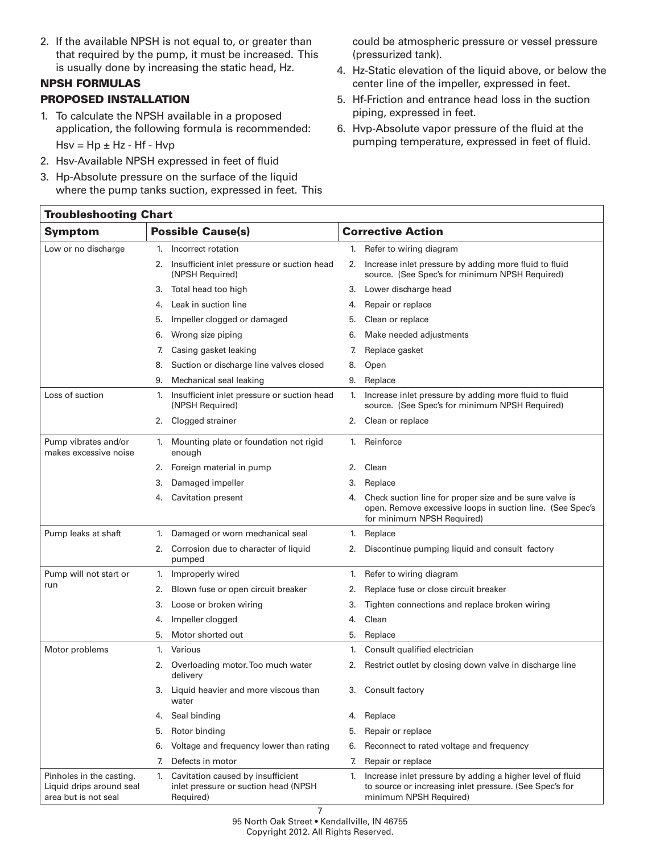2. If the available NPSH is not equal to, or greater than that required by the pump, it must be increased. This is usually done by increasing the static head, Hz.

# NPSH FORMULAS

# PROPOSED INSTALLATION

- 1. To calculate the NPSH available in a proposed application, the following formula is recommended:  $Hsv = Hp \pm Hz - Hf - Hvp$
- 2. Hsv-Available NPSH expressed in feet of fluid
- 3. Hp-Absolute pressure on the surface of the liquid where the pump tanks suction, expressed in feet. This

could be atmospheric pressure or vessel pressure (pressurized tank).

- 4. Hz-Static elevation of the liquid above, or below the center line of the impeller, expressed in feet.
- 5. Hf-Friction and entrance head loss in the suction piping, expressed in feet.
- 6. Hvp-Absolute vapor pressure of the fluid at the pumping temperature, expressed in feet of fluid.

|                                                                              | <b>Troubleshooting Chart</b>                                                                 |                                                                                                                                                          |  |  |  |  |  |
|------------------------------------------------------------------------------|----------------------------------------------------------------------------------------------|----------------------------------------------------------------------------------------------------------------------------------------------------------|--|--|--|--|--|
| <b>Possible Cause(s)</b><br><b>Symptom</b>                                   |                                                                                              | <b>Corrective Action</b>                                                                                                                                 |  |  |  |  |  |
| Low or no discharge                                                          | Incorrect rotation<br>1.                                                                     | Refer to wiring diagram<br>1.                                                                                                                            |  |  |  |  |  |
|                                                                              | 2. Insufficient inlet pressure or suction head<br>(NPSH Required)                            | Increase inlet pressure by adding more fluid to fluid<br>2.<br>source. (See Spec's for minimum NPSH Required)                                            |  |  |  |  |  |
|                                                                              | Total head too high<br>3.                                                                    | Lower discharge head<br>3.                                                                                                                               |  |  |  |  |  |
|                                                                              | Leak in suction line<br>4.                                                                   | Repair or replace<br>4.                                                                                                                                  |  |  |  |  |  |
|                                                                              | Impeller clogged or damaged<br>5.                                                            | Clean or replace<br>5.                                                                                                                                   |  |  |  |  |  |
|                                                                              | Wrong size piping<br>6.                                                                      | Make needed adjustments<br>6.                                                                                                                            |  |  |  |  |  |
|                                                                              | Casing gasket leaking<br>7.                                                                  | Replace gasket<br>7.                                                                                                                                     |  |  |  |  |  |
|                                                                              | Suction or discharge line valves closed<br>8.                                                | 8.<br>Open                                                                                                                                               |  |  |  |  |  |
|                                                                              | Mechanical seal leaking<br>9.                                                                | Replace<br>9.                                                                                                                                            |  |  |  |  |  |
| Loss of suction                                                              | Insufficient inlet pressure or suction head<br>1.<br>(NPSH Required)                         | Increase inlet pressure by adding more fluid to fluid<br>1.<br>source. (See Spec's for minimum NPSH Required)                                            |  |  |  |  |  |
|                                                                              | Clogged strainer<br>2.                                                                       | Clean or replace<br>2.                                                                                                                                   |  |  |  |  |  |
| Pump vibrates and/or<br>makes excessive noise                                | 1. Mounting plate or foundation not rigid<br>enough                                          | Reinforce<br>1.                                                                                                                                          |  |  |  |  |  |
|                                                                              | Foreign material in pump<br>2.                                                               | Clean<br>2.                                                                                                                                              |  |  |  |  |  |
|                                                                              | Damaged impeller<br>3.                                                                       | 3.<br>Replace                                                                                                                                            |  |  |  |  |  |
|                                                                              | <b>Cavitation present</b><br>4.                                                              | Check suction line for proper size and be sure valve is<br>4.<br>open. Remove excessive loops in suction line. (See Spec's<br>for minimum NPSH Required) |  |  |  |  |  |
| Pump leaks at shaft                                                          | Damaged or worn mechanical seal<br>1.                                                        | Replace<br>1.                                                                                                                                            |  |  |  |  |  |
|                                                                              | 2. Corrosion due to character of liquid<br>pumped                                            | Discontinue pumping liquid and consult factory<br>2.                                                                                                     |  |  |  |  |  |
| Pump will not start or                                                       | Improperly wired<br>1.                                                                       | Refer to wiring diagram<br>1.                                                                                                                            |  |  |  |  |  |
| run                                                                          | Blown fuse or open circuit breaker<br>2.                                                     | Replace fuse or close circuit breaker<br>2.                                                                                                              |  |  |  |  |  |
|                                                                              | Loose or broken wiring<br>3.                                                                 | Tighten connections and replace broken wiring<br>3.                                                                                                      |  |  |  |  |  |
|                                                                              | Impeller clogged<br>4.                                                                       | Clean<br>4.                                                                                                                                              |  |  |  |  |  |
|                                                                              | Motor shorted out<br>5.                                                                      | 5.<br>Replace                                                                                                                                            |  |  |  |  |  |
| Motor problems                                                               | Various<br>1.                                                                                | Consult qualified electrician<br>1.                                                                                                                      |  |  |  |  |  |
|                                                                              | Overloading motor. Too much water<br>2.<br>delivery                                          | Restrict outlet by closing down valve in discharge line<br>2.                                                                                            |  |  |  |  |  |
|                                                                              | Liquid heavier and more viscous than<br>3.<br>water                                          | 3.<br>Consult factory                                                                                                                                    |  |  |  |  |  |
|                                                                              | Seal binding<br>4.                                                                           | Replace<br>4.                                                                                                                                            |  |  |  |  |  |
|                                                                              | Rotor binding<br>5.                                                                          | Repair or replace<br>5.                                                                                                                                  |  |  |  |  |  |
|                                                                              | Voltage and frequency lower than rating<br>6.                                                | Reconnect to rated voltage and frequency<br>6.                                                                                                           |  |  |  |  |  |
|                                                                              | Defects in motor<br>7.                                                                       | 7.<br>Repair or replace                                                                                                                                  |  |  |  |  |  |
| Pinholes in the casting.<br>Liquid drips around seal<br>area but is not seal | Cavitation caused by insufficient<br>1.<br>inlet pressure or suction head (NPSH<br>Required) | Increase inlet pressure by adding a higher level of fluid<br>1.<br>to source or increasing inlet pressure. (See Spec's for<br>minimum NPSH Required)     |  |  |  |  |  |